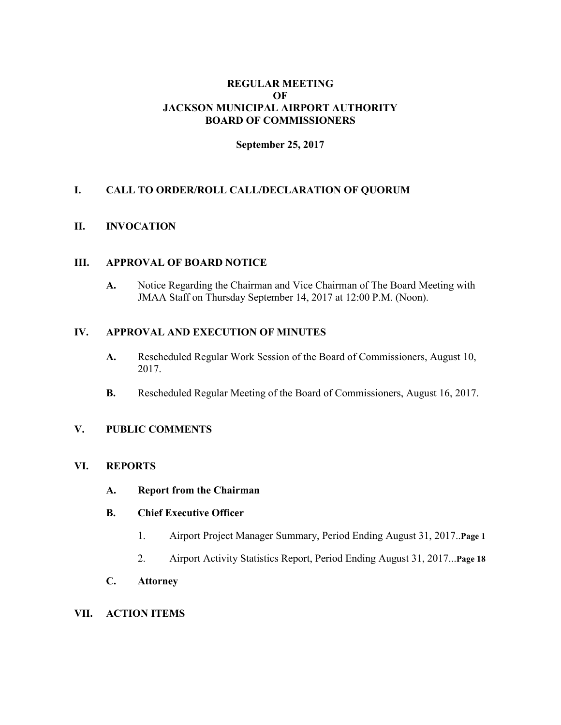### **REGULAR MEETING OF JACKSON MUNICIPAL AIRPORT AUTHORITY BOARD OF COMMISSIONERS**

#### **September 25, 2017**

#### **I. CALL TO ORDER/ROLL CALL/DECLARATION OF QUORUM**

#### **II. INVOCATION**

#### **III. APPROVAL OF BOARD NOTICE**

**A.** Notice Regarding the Chairman and Vice Chairman of The Board Meeting with JMAA Staff on Thursday September 14, 2017 at 12:00 P.M. (Noon).

#### **IV. APPROVAL AND EXECUTION OF MINUTES**

- **A.** Rescheduled Regular Work Session of the Board of Commissioners, August 10, 2017.
- **B.** Rescheduled Regular Meeting of the Board of Commissioners, August 16, 2017.

## **V. PUBLIC COMMENTS**

### **VI. REPORTS**

**A. Report from the Chairman**

#### **B. Chief Executive Officer**

- 1. Airport Project Manager Summary, Period Ending August 31, 2017..**Page 1**
- 2. Airport Activity Statistics Report, Period Ending August 31, 2017...**Page 18**
- **C. Attorney**

#### **VII. ACTION ITEMS**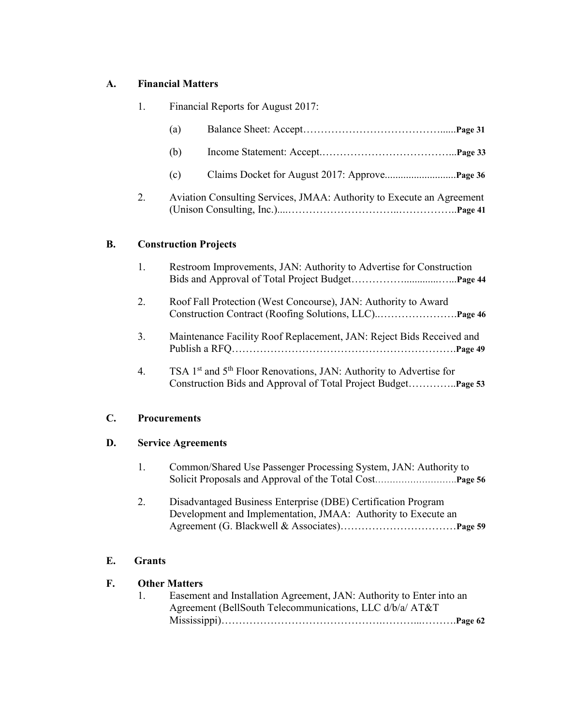## **A. Financial Matters**

|    | 1. | Financial Reports for August 2017:                                    |                                                                     |
|----|----|-----------------------------------------------------------------------|---------------------------------------------------------------------|
|    |    | (a)                                                                   |                                                                     |
|    |    | (b)                                                                   |                                                                     |
|    |    | (c)                                                                   |                                                                     |
|    | 2. | Aviation Consulting Services, JMAA: Authority to Execute an Agreement |                                                                     |
| B. |    | <b>Construction Projects</b>                                          |                                                                     |
|    | 1. |                                                                       | Restroom Improvements, JAN: Authority to Advertise for Construction |
|    |    |                                                                       |                                                                     |
|    | 2. |                                                                       | Roof Fall Protection (West Concourse), JAN: Authority to Award      |

4. TSA 1st and 5th Floor Renovations, JAN: Authority to Advertise for Construction Bids and Approval of Total Project Budget…………..**Page 53**

### **C. Procurements**

### **D. Service Agreements**

- 1. Common/Shared Use Passenger Processing System, JAN: Authority to Solicit Proposals and Approval of the Total Cost……………………….**Page 56**
- 2. Disadvantaged Business Enterprise (DBE) Certification Program Development and Implementation, JMAA: Authority to Execute an Agreement (G. Blackwell & Associates)……………………………**Page 59**

## **E. Grants**

### **F. Other Matters**

1. Easement and Installation Agreement, JAN: Authority to Enter into an Agreement (BellSouth Telecommunications, LLC d/b/a/ AT&T Mississippi)……………………………………….………...……….**Page 62**